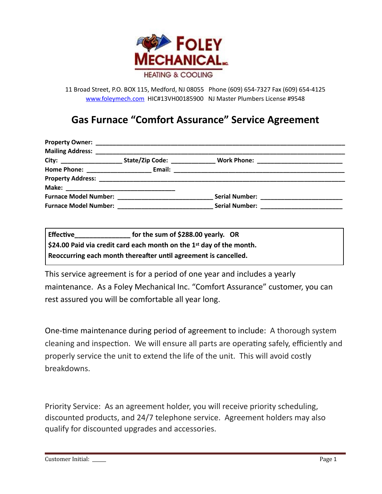

11 Broad Street, P.O. BOX 115, Medford, NJ 08055 Phone (609) 654-7327 Fax (609) 654-4125 [www.foleymech.com](http://www.foleymech.com) HIC#13VH00185900 NJ Master Plumbers License #9548

## **Gas Furnace "Comfort Assurance" Service Agreement**

|  | Serial Number: ___________ |  |
|--|----------------------------|--|

| <b>Effective</b>                                                                   | for the sum of \$288.00 yearly. OR |  |  |
|------------------------------------------------------------------------------------|------------------------------------|--|--|
| $\frac{1}{2}$ \$24.00 Paid via credit card each month on the 1st day of the month. |                                    |  |  |
| Reoccurring each month thereafter until agreement is cancelled.                    |                                    |  |  |

This service agreement is for a period of one year and includes a yearly maintenance. As a Foley Mechanical Inc. "Comfort Assurance" customer, you can rest assured you will be comfortable all year long.

One-time maintenance during period of agreement to include: A thorough system cleaning and inspection. We will ensure all parts are operating safely, efficiently and properly service the unit to extend the life of the unit. This will avoid costly breakdowns.

Priority Service: As an agreement holder, you will receive priority scheduling, discounted products, and 24/7 telephone service. Agreement holders may also qualify for discounted upgrades and accessories.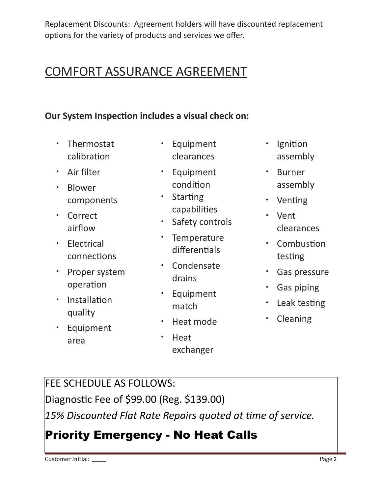Replacement Discounts: Agreement holders will have discounted replacement options for the variety of products and services we offer.

# COMFORT ASSURANCE AGREEMENT

### **Our System Inspection includes a visual check on:**

- Thermostat calibration
- Air filter
- Blower components
- Correct airflow
- Electrical connections
- Proper system operation
- $\cdot$  Installation quality
- Equipment area
- Equipment clearances
- Equipment condition
- Starting capabilities
- Safety controls
- Temperature differentials
- Condensate drains
- Equipment match
- Heat mode
	- Heat exchanger
- $\cdot$  Ignition assembly
- Burner assembly
- Venting
- Vent clearances
- $\cdot$  Combustion testing
- Gas pressure
- Gas piping
- Leak testing
- Cleaning

# FEE SCHEDULE AS FOLLOWS:

Diagnostic Fee of \$99.00 (Reg. \$139.00)

15% Discounted Flat Rate Repairs quoted at time of service.

# Priority Emergency - No Heat Calls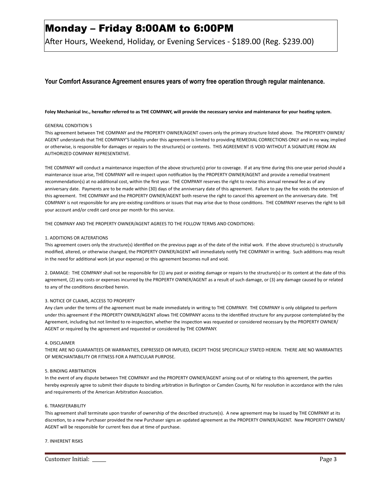## Monday – Friday 8:00AM to 6:00PM

After Hours, Weekend, Holiday, or Evening Services - \$189.00 (Reg. \$239.00)

#### **Your Comfort Assurance Agreement ensures years of worry free operation through regular maintenance.**

#### Foley Mechanical Inc., hereafter referred to as THE COMPANY, will provide the necessary service and maintenance for your heating system.

#### GENERAL CONDITION S

This agreement between THE COMPANY and the PROPERTY OWNER/AGENT covers only the primary structure listed above. The PROPERTY OWNER/ AGENT understands that THE COMPANY'S liability under this agreement is limited to providing REMEDIAL CORRECTIONS ONLY and in no way, implied or otherwise, is responsible for damages or repairs to the structure(s) or contents. THIS AGREEMENT IS VOID WITHOUT A SIGNATURE FROM AN AUTHORIZED COMPANY REPRESENTATIVE.

THE COMPANY will conduct a maintenance inspection of the above structure(s) prior to coverage. If at any time during this one-year period should a maintenance issue arise, THE COMPANY will re-inspect upon notification by the PROPERTY OWNER/AGENT and provide a remedial treatment recommendation(s) at no additional cost, within the first year. THE COMPANY reserves the right to revise this annual renewal fee as of any anniversary date. Payments are to be made within (30) days of the anniversary date of this agreement. Failure to pay the fee voids the extension of this agreement. THE COMPANY and the PROPERTY OWNER/AGENT both reserve the right to cancel this agreement on the anniversary date. THE COMPANY is not responsible for any pre-existing conditions or issues that may arise due to those conditions. THE COMPANY reserves the right to bill your account and/or credit card once per month for this service.

THE COMPANY AND THE PROPERTY OWNER/AGENT AGREES TO THE FOLLOW TERMS AND CONDITIONS:

#### 1. ADDITIONS OR ALTERATIONS

This agreement covers only the structure(s) identified on the previous page as of the date of the initial work. If the above structure(s) is structurally modified, altered, or otherwise changed, the PROPERTY OWNER/AGENT will immediately notify THE COMPANY in writing. Such additions may result in the need for additional work (at your expense) or this agreement becomes null and void.

2. DAMAGE: THE COMPANY shall not be responsible for (1) any past or existing damage or repairs to the structure(s) or its content at the date of this agreement, (2) any costs or expenses incurred by the PROPERTY OWNER/AGENT as a result of such damage, or (3) any damage caused by or related to any of the conditions described herein.

#### 3. NOTICE OF CLAIMS, ACCESS TO PROPERTY

Any clam under the terms of the agreement must be made immediately in writing to THE COMPANY. THE COMPANY is only obligated to perform under this agreement if the PROPERTY OWNER/AGENT allows THE COMPANY access to the identified structure for any purpose contemplated by the Agreement, including but not limited to re-inspection, whether the inspection was requested or considered necessary by the PROPERTY OWNER/ AGENT or required by the agreement and requested or considered by THE COMPANY.

#### 4. DISCLAIMER

THERE ARE NO GUARANTEES OR WARRANTIES, EXPRESSED OR IMPLIED, EXCEPT THOSE SPECIFICALLY STATED HEREIN. THERE ARE NO WARRANTIES OF MERCHANTABILITY OR FITNESS FOR A PARTICULAR PURPOSE.

#### 5. BINDING ARBITRATION

In the event of any dispute between THE COMPANY and the PROPERTY OWNER/AGENT arising out of or relating to this agreement, the parties hereby expressly agree to submit their dispute to binding arbitration in Burlington or Camden County, NJ for resolution in accordance with the rules and requirements of the American Arbitration Association.

#### 6. TRANSFERABILITY

This agreement shall terminate upon transfer of ownership of the described structure(s). A new agreement may be issued by THE COMPANY at its discretion, to a new Purchaser provided the new Purchaser signs an updated agreement as the PROPERTY OWNER/AGENT. New PROPERTY OWNER/ AGENT will be responsible for current fees due at time of purchase.

7. INHERENT RISKS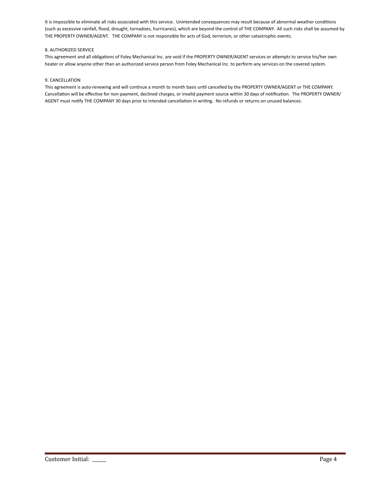It is impossible to eliminate all risks associated with this service. Unintended consequences may result because of abnormal weather conditions (such as excessive rainfall, flood, drought, tornadoes, hurricanes), which are beyond the control of THE COMPANY. All such risks shall be assumed by THE PROPERTY OWNER/AGENT. THE COMPANY is not responsible for acts of God, terrorism, or other catastrophic events.

#### 8. AUTHORIZED SERVICE

This agreement and all obligations of Foley Mechanical Inc. are void if the PROPERTY OWNER/AGENT services or attempts to service his/her own heater or allow anyone other than an authorized service person from Foley Mechanical Inc. to perform any services on the covered system.

#### 9. CANCELLATION

This agreement is auto-renewing and will continue a month to month basis until cancelled by the PROPERTY OWNER/AGENT or THE COMPANY. Cancellation will be effective for non-payment, declined charges, or invalid payment source within 30 days of notification. The PROPERTY OWNER/ AGENT must notify THE COMPANY 30 days prior to intended cancellation in writing. No refunds or returns on unused balances.